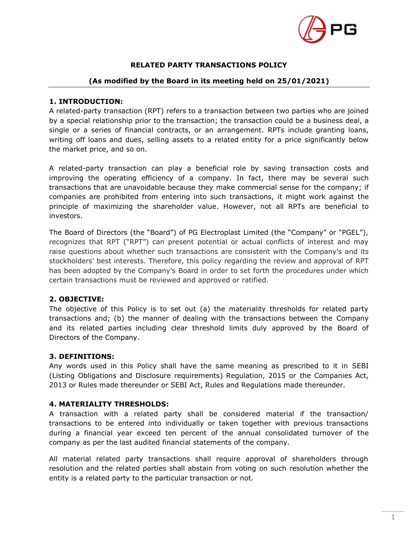

# **RELATED PARTY TRANSACTIONS POLICY**

# **(As modified by the Board in its meeting held on 25/01/2021)**

#### **1. INTRODUCTION:**

A related-party transaction (RPT) refers to a transaction between two parties who are joined by a special relationship prior to the transaction; the transaction could be a business deal, a single or a series of financial contracts, or an arrangement. RPTs include granting loans, writing off loans and dues, selling assets to a related entity for a price significantly below the market price, and so on.

A related-party transaction can play a beneficial role by saving transaction costs and improving the operating efficiency of a company. In fact, there may be several such transactions that are unavoidable because they make commercial sense for the company; if companies are prohibited from entering into such transactions, it might work against the principle of maximizing the shareholder value. However, not all RPTs are beneficial to investors.

The Board of Directors (the "Board") of PG Electroplast Limited (the "Company" or "PGEL"), recognizes that RPT ("RPT") can present potential or actual conflicts of interest and may raise questions about whether such transactions are consistent with the Company's and its stockholders' best interests. Therefore, this policy regarding the review and approval of RPT has been adopted by the Company's Board in order to set forth the procedures under which certain transactions must be reviewed and approved or ratified.

#### **2. OBJECTIVE:**

The objective of this Policy is to set out (a) the materiality thresholds for related party transactions and; (b) the manner of dealing with the transactions between the Company and its related parties including clear threshold limits duly approved by the Board of Directors of the Company.

#### **3. DEFINITIONS:**

Any words used in this Policy shall have the same meaning as prescribed to it in SEBI (Listing Obligations and Disclosure requirements) Regulation, 2015 or the Companies Act, 2013 or Rules made thereunder or SEBI Act, Rules and Regulations made thereunder.

#### **4. MATERIALITY THRESHOLDS:**

A transaction with a related party shall be considered material if the transaction/ transactions to be entered into individually or taken together with previous transactions during a financial year exceed ten percent of the annual consolidated turnover of the company as per the last audited financial statements of the company.

All material related party transactions shall require approval of shareholders through resolution and the related parties shall abstain from voting on such resolution whether the entity is a related party to the particular transaction or not.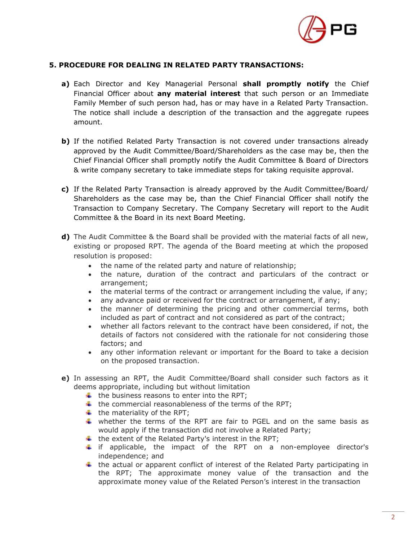

# **5. PROCEDURE FOR DEALING IN RELATED PARTY TRANSACTIONS:**

- **a)** Each Director and Key Managerial Personal **shall promptly notify** the Chief Financial Officer about **any material interest** that such person or an Immediate Family Member of such person had, has or may have in a Related Party Transaction. The notice shall include a description of the transaction and the aggregate rupees amount.
- **b**) If the notified Related Party Transaction is not covered under transactions already approved by the Audit Committee/Board/Shareholders as the case may be, then the Chief Financial Officer shall promptly notify the Audit Committee & Board of Directors & write company secretary to take immediate steps for taking requisite approval.
- **c)** If the Related Party Transaction is already approved by the Audit Committee/Board/ Shareholders as the case may be, than the Chief Financial Officer shall notify the Transaction to Company Secretary. The Company Secretary will report to the Audit Committee & the Board in its next Board Meeting.
- **d)** The Audit Committee & the Board shall be provided with the material facts of all new, existing or proposed RPT. The agenda of the Board meeting at which the proposed resolution is proposed:
	- the name of the related party and nature of relationship;
	- the nature, duration of the contract and particulars of the contract or arrangement;
	- the material terms of the contract or arrangement including the value, if any;
	- any advance paid or received for the contract or arrangement, if any;
	- the manner of determining the pricing and other commercial terms, both included as part of contract and not considered as part of the contract;
	- whether all factors relevant to the contract have been considered, if not, the details of factors not considered with the rationale for not considering those factors; and
	- any other information relevant or important for the Board to take a decision on the proposed transaction.
- **e)** In assessing an RPT, the Audit Committee/Board shall consider such factors as it deems appropriate, including but without limitation
	- $\ddot{\phantom{1}}$  the business reasons to enter into the RPT;
	- $\ddot{\phantom{1}}$  the commercial reasonableness of the terms of the RPT;
	- $\ddot{ }$  the materiality of the RPT;
	- $\ddotmark$  whether the terms of the RPT are fair to PGEL and on the same basis as would apply if the transaction did not involve a Related Party;
	- $\ddot{\text{I}}$  the extent of the Related Party's interest in the RPT;
	- $\ddot$  if applicable, the impact of the RPT on a non-employee director's independence; and
	- $\ddot{\phantom{1}}$  the actual or apparent conflict of interest of the Related Party participating in the RPT; The approximate money value of the transaction and the approximate money value of the Related Person's interest in the transaction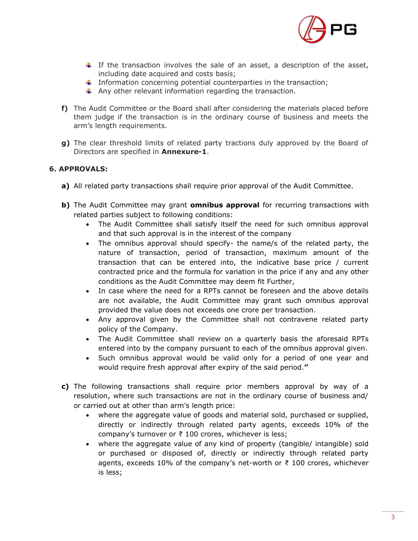

- If the transaction involves the sale of an asset, a description of the asset, including date acquired and costs basis;
- $\ddot{\phantom{1}}$  Information concerning potential counterparties in the transaction;
- $\uparrow$  Any other relevant information regarding the transaction.
- **f)** The Audit Committee or the Board shall after considering the materials placed before them judge if the transaction is in the ordinary course of business and meets the arm's length requirements.
- **g)** The clear threshold limits of related party tractions duly approved by the Board of Directors are specified in **Annexure-1**.

# **6. APPROVALS:**

- **a)** All related party transactions shall require prior approval of the Audit Committee.
- **b)** The Audit Committee may grant **omnibus approval** for recurring transactions with related parties subject to following conditions:
	- The Audit Committee shall satisfy itself the need for such omnibus approval and that such approval is in the interest of the company
	- The omnibus approval should specify- the name/s of the related party, the nature of transaction, period of transaction, maximum amount of the transaction that can be entered into, the indicative base price / current contracted price and the formula for variation in the price if any and any other conditions as the Audit Committee may deem fit Further,
	- In case where the need for a RPTs cannot be foreseen and the above details are not available, the Audit Committee may grant such omnibus approval provided the value does not exceeds one crore per transaction.
	- Any approval given by the Committee shall not contravene related party policy of the Company.
	- The Audit Committee shall review on a quarterly basis the aforesaid RPTs entered into by the company pursuant to each of the omnibus approval given.
	- Such omnibus approval would be valid only for a period of one year and would require fresh approval after expiry of the said period.**"**
- **c)** The following transactions shall require prior members approval by way of a resolution, where such transactions are not in the ordinary course of business and/ or carried out at other than arm's length price:
	- where the aggregate value of goods and material sold, purchased or supplied, directly or indirectly through related party agents, exceeds 10% of the company's turnover or ₹ 100 crores, whichever is less;
	- where the aggregate value of any kind of property (tangible/ intangible) sold or purchased or disposed of, directly or indirectly through related party agents, exceeds 10% of the company's net-worth or  $\bar{\tau}$  100 crores, whichever is less;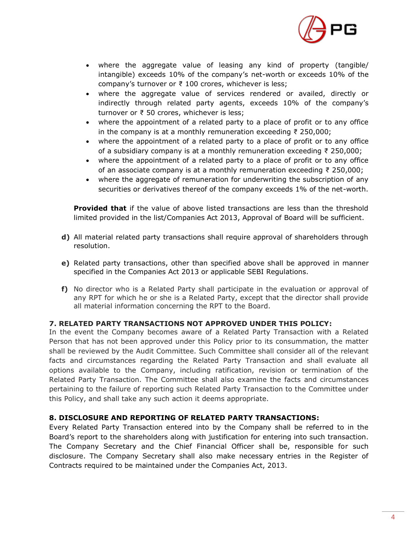

- where the aggregate value of leasing any kind of property (tangible/ intangible) exceeds 10% of the company's net-worth or exceeds 10% of the company's turnover or ₹ 100 crores, whichever is less;
- where the aggregate value of services rendered or availed, directly or indirectly through related party agents, exceeds 10% of the company's turnover or ₹ 50 crores, whichever is less;
- where the appointment of a related party to a place of profit or to any office in the company is at a monthly remuneration exceeding ₹ 250,000;
- where the appointment of a related party to a place of profit or to any office of a subsidiary company is at a monthly remuneration exceeding ₹ 250,000;
- where the appointment of a related party to a place of profit or to any office of an associate company is at a monthly remuneration exceeding ₹ 250,000;
- where the aggregate of remuneration for underwriting the subscription of any securities or derivatives thereof of the company exceeds 1% of the net-worth.

**Provided that** if the value of above listed transactions are less than the threshold limited provided in the list/Companies Act 2013, Approval of Board will be sufficient.

- **d)** All material related party transactions shall require approval of shareholders through resolution.
- **e)** Related party transactions, other than specified above shall be approved in manner specified in the Companies Act 2013 or applicable SEBI Regulations.
- **f)** No director who is a Related Party shall participate in the evaluation or approval of any RPT for which he or she is a Related Party, except that the director shall provide all material information concerning the RPT to the Board.

# **7. RELATED PARTY TRANSACTIONS NOT APPROVED UNDER THIS POLICY:**

In the event the Company becomes aware of a Related Party Transaction with a Related Person that has not been approved under this Policy prior to its consummation, the matter shall be reviewed by the Audit Committee. Such Committee shall consider all of the relevant facts and circumstances regarding the Related Party Transaction and shall evaluate all options available to the Company, including ratification, revision or termination of the Related Party Transaction. The Committee shall also examine the facts and circumstances pertaining to the failure of reporting such Related Party Transaction to the Committee under this Policy, and shall take any such action it deems appropriate.

# **8. DISCLOSURE AND REPORTING OF RELATED PARTY TRANSACTIONS:**

Every Related Party Transaction entered into by the Company shall be referred to in the Board's report to the shareholders along with justification for entering into such transaction. The Company Secretary and the Chief Financial Officer shall be, responsible for such disclosure. The Company Secretary shall also make necessary entries in the Register of Contracts required to be maintained under the Companies Act, 2013.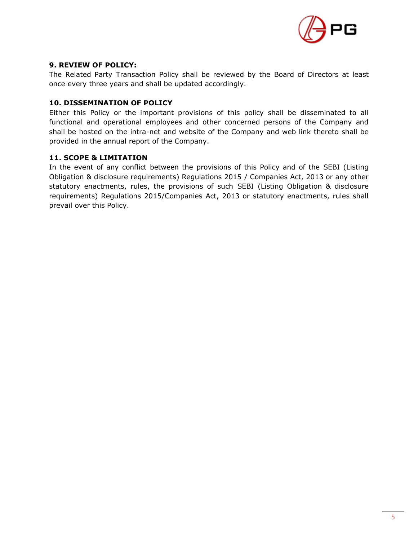

# **9. REVIEW OF POLICY:**

The Related Party Transaction Policy shall be reviewed by the Board of Directors at least once every three years and shall be updated accordingly.

# **10. DISSEMINATION OF POLICY**

Either this Policy or the important provisions of this policy shall be disseminated to all functional and operational employees and other concerned persons of the Company and shall be hosted on the intra-net and website of the Company and web link thereto shall be provided in the annual report of the Company.

# **11. SCOPE & LIMITATION**

In the event of any conflict between the provisions of this Policy and of the SEBI (Listing Obligation & disclosure requirements) Regulations 2015 / Companies Act, 2013 or any other statutory enactments, rules, the provisions of such SEBI (Listing Obligation & disclosure requirements) Regulations 2015/Companies Act, 2013 or statutory enactments, rules shall prevail over this Policy.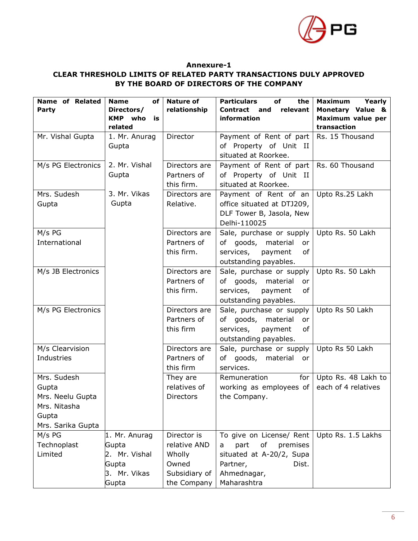

#### **Annexure-1 CLEAR THRESHOLD LIMITS OF RELATED PARTY TRANSACTIONS DULY APPROVED BY THE BOARD OF DIRECTORS OF THE COMPANY**

| <b>Name of Related</b> | <b>Name</b><br>of    | <b>Nature of</b> | <b>Particulars</b><br>of<br>the    | <b>Maximum</b><br>Yearly    |
|------------------------|----------------------|------------------|------------------------------------|-----------------------------|
| Party                  | Directors/           | relationship     | relevant<br><b>Contract</b><br>and | <b>Monetary Value &amp;</b> |
|                        | <b>KMP</b> who<br>is |                  | information                        | Maximum value per           |
|                        | related              |                  |                                    | transaction                 |
| Mr. Vishal Gupta       | 1. Mr. Anurag        | Director         | Payment of Rent of part            | Rs. 15 Thousand             |
|                        | Gupta                |                  | of Property of Unit II             |                             |
|                        |                      |                  | situated at Roorkee.               |                             |
| M/s PG Electronics     | 2. Mr. Vishal        | Directors are    | Payment of Rent of part            | Rs. 60 Thousand             |
|                        | Gupta                | Partners of      | of Property of Unit II             |                             |
|                        |                      | this firm.       | situated at Roorkee.               |                             |
| Mrs. Sudesh            | 3. Mr. Vikas         | Directors are    | Payment of Rent of an              | Upto Rs.25 Lakh             |
| Gupta                  | Gupta                | Relative.        | office situated at DTJ209,         |                             |
|                        |                      |                  | DLF Tower B, Jasola, New           |                             |
|                        |                      |                  | Delhi-110025                       |                             |
| M/s PG                 |                      | Directors are    | Sale, purchase or supply           | Upto Rs. 50 Lakh            |
| International          |                      | Partners of      | of goods, material<br>or           |                             |
|                        |                      | this firm.       | services,<br>payment<br>оf         |                             |
|                        |                      |                  | outstanding payables.              |                             |
| M/s JB Electronics     |                      | Directors are    | Sale, purchase or supply           | Upto Rs. 50 Lakh            |
|                        |                      | Partners of      | of goods, material<br>or           |                             |
|                        |                      | this firm.       | services,<br>of<br>payment         |                             |
|                        |                      |                  | outstanding payables.              |                             |
| M/s PG Electronics     |                      | Directors are    | Sale, purchase or supply           | Upto Rs 50 Lakh             |
|                        |                      | Partners of      | of goods, material<br>or           |                             |
|                        |                      | this firm        | services,<br>payment<br>оf         |                             |
|                        |                      |                  | outstanding payables.              |                             |
| M/s Clearvision        |                      | Directors are    | Sale, purchase or supply           | Upto Rs 50 Lakh             |
| Industries             |                      | Partners of      | of goods, material<br>or           |                             |
|                        |                      | this firm        | services.                          |                             |
| Mrs. Sudesh            |                      | They are         | Remuneration<br>for                | Upto Rs. 48 Lakh to         |
| Gupta                  |                      | relatives of     | working as employees of            | each of 4 relatives         |
| Mrs. Neelu Gupta       |                      | <b>Directors</b> | the Company.                       |                             |
| Mrs. Nitasha           |                      |                  |                                    |                             |
| Gupta                  |                      |                  |                                    |                             |
| Mrs. Sarika Gupta      |                      |                  |                                    |                             |
| M/s PG                 | 1. Mr. Anurag        | Director is      | To give on License/ Rent           | Upto Rs. 1.5 Lakhs          |
| Technoplast            | Gupta                | relative AND     | of<br>premises<br>part<br>a        |                             |
| Limited                | 2. Mr. Vishal        | Wholly           | situated at A-20/2, Supa           |                             |
|                        | Gupta                | Owned            | Partner,<br>Dist.                  |                             |
|                        | 3. Mr. Vikas         | Subsidiary of    | Ahmednagar,                        |                             |
|                        | Gupta                | the Company      | Maharashtra                        |                             |